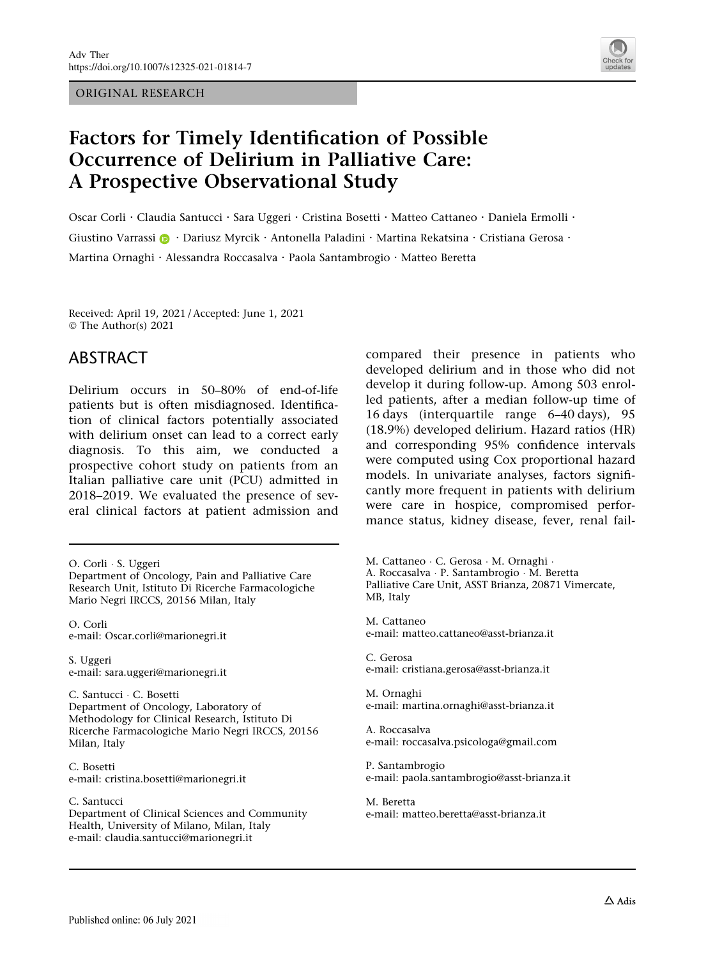ORIGINAL RESEARCH



# Factors for Timely Identification of Possible Occurrence of Delirium in Palliative Care: A Prospective Observational Study

Oscar Corli · Claudia Santucci · Sara Uggeri · Cristina Bosetti · Matteo Cattaneo · Daniela Ermolli · Giustino Varrassi **@** · Dariusz Myrcik · Antonella Paladini · Martina Rekatsina · Cristiana Gerosa · Martina Ornaghi . Alessandra Roccasalva . Paola Santambrogio . Matteo Beretta

Received: April 19, 2021 / Accepted: June 1, 2021 © The Author(s) 2021

### ABSTRACT

Delirium occurs in 50–80% of end-of-life patients but is often misdiagnosed. Identification of clinical factors potentially associated with delirium onset can lead to a correct early diagnosis. To this aim, we conducted a prospective cohort study on patients from an Italian palliative care unit (PCU) admitted in 2018–2019. We evaluated the presence of several clinical factors at patient admission and

O. Corli - S. Uggeri

Department of Oncology, Pain and Palliative Care Research Unit, Istituto Di Ricerche Farmacologiche Mario Negri IRCCS, 20156 Milan, Italy

O. Corli e-mail: Oscar.corli@marionegri.it

S. Uggeri e-mail: sara.uggeri@marionegri.it

C. Santucci - C. Bosetti Department of Oncology, Laboratory of Methodology for Clinical Research, Istituto Di Ricerche Farmacologiche Mario Negri IRCCS, 20156 Milan, Italy

C. Bosetti e-mail: cristina.bosetti@marionegri.it

C. Santucci Department of Clinical Sciences and Community Health, University of Milano, Milan, Italy e-mail: claudia.santucci@marionegri.it

compared their presence in patients who developed delirium and in those who did not develop it during follow-up. Among 503 enrolled patients, after a median follow-up time of 16 days (interquartile range 6–40 days), 95 (18.9%) developed delirium. Hazard ratios (HR) and corresponding 95% confidence intervals were computed using Cox proportional hazard models. In univariate analyses, factors significantly more frequent in patients with delirium were care in hospice, compromised performance status, kidney disease, fever, renal fail-

M. Cattaneo · C. Gerosa · M. Ornaghi · A. Roccasalva - P. Santambrogio - M. Beretta Palliative Care Unit, ASST Brianza, 20871 Vimercate, MB, Italy

M. Cattaneo e-mail: matteo.cattaneo@asst-brianza.it

C. Gerosa e-mail: cristiana.gerosa@asst-brianza.it

M. Ornaghi e-mail: martina.ornaghi@asst-brianza.it

A. Roccasalva e-mail: roccasalva.psicologa@gmail.com

P. Santambrogio e-mail: paola.santambrogio@asst-brianza.it

M. Beretta e-mail: matteo.beretta@asst-brianza.it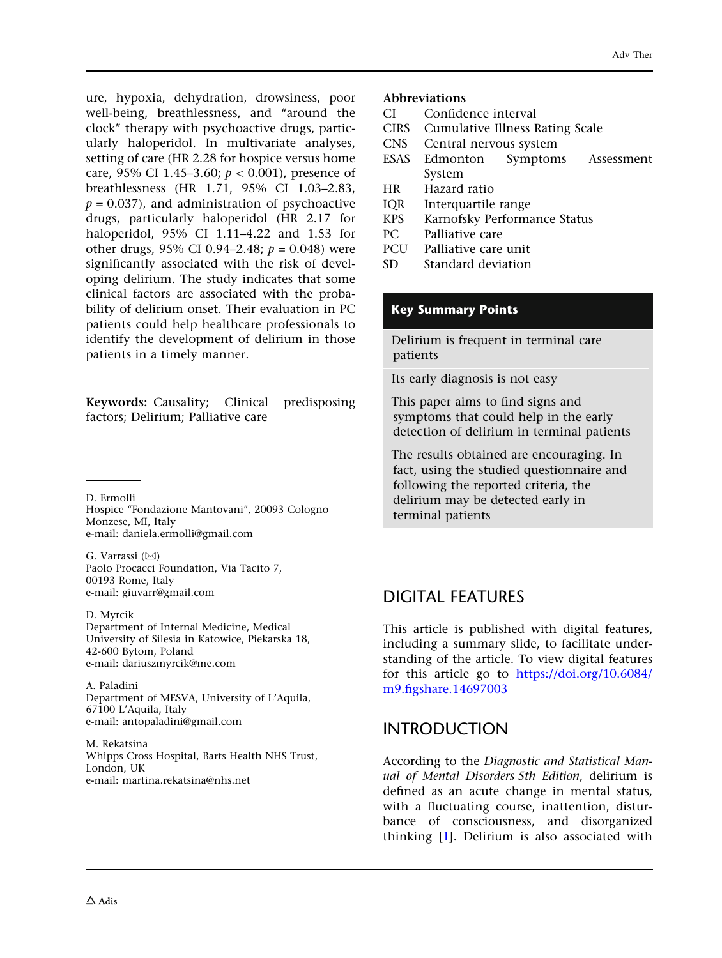ure, hypoxia, dehydration, drowsiness, poor well-being, breathlessness, and "around the clock'' therapy with psychoactive drugs, particularly haloperidol. In multivariate analyses, setting of care (HR 2.28 for hospice versus home care, 95% CI 1.45–3.60;  $p < 0.001$ ), presence of breathlessness (HR 1.71, 95% CI 1.03–2.83,  $p = 0.037$ , and administration of psychoactive drugs, particularly haloperidol (HR 2.17 for haloperidol, 95% CI 1.11–4.22 and 1.53 for other drugs, 95% CI 0.94–2.48;  $p = 0.048$ ) were significantly associated with the risk of developing delirium. The study indicates that some clinical factors are associated with the probability of delirium onset. Their evaluation in PC patients could help healthcare professionals to identify the development of delirium in those patients in a timely manner.

Keywords: Causality; Clinical predisposing factors; Delirium; Palliative care

D. Ermolli

Hospice ''Fondazione Mantovani'', 20093 Cologno Monzese, MI, Italy e-mail: daniela.ermolli@gmail.com

G. Varrassi  $(\boxtimes)$ Paolo Procacci Foundation, Via Tacito 7, 00193 Rome, Italy e-mail: giuvarr@gmail.com

D. Myrcik Department of Internal Medicine, Medical University of Silesia in Katowice, Piekarska 18, 42-600 Bytom, Poland e-mail: dariuszmyrcik@me.com

A. Paladini Department of MESVA, University of L'Aquila, 67100 L'Aquila, Italy e-mail: antopaladini@gmail.com

M. Rekatsina Whipps Cross Hospital, Barts Health NHS Trust, London, UK e-mail: martina.rekatsina@nhs.net

#### Abbreviations

- CI Confidence interval
- CIRS Cumulative Illness Rating Scale
- CNS Central nervous system<br>ESAS Edmonton Symptom
- Edmonton Symptoms Assessment System
- HR Hazard ratio
- IQR Interquartile range
- KPS Karnofsky Performance Status
- PC Palliative care
- PCU Palliative care unit
- SD Standard deviation

#### Key Summary Points

Delirium is frequent in terminal care patients

Its early diagnosis is not easy

This paper aims to find signs and symptoms that could help in the early detection of delirium in terminal patients

The results obtained are encouraging. In fact, using the studied questionnaire and following the reported criteria, the delirium may be detected early in terminal patients

### DIGITAL FEATURES

This article is published with digital features, including a summary slide, to facilitate understanding of the article. To view digital features for this article go to [https://doi.org/10.6084/](https://doi.org/10.6084/m9.figshare.14697003) [m9.figshare.14697003](https://doi.org/10.6084/m9.figshare.14697003)

# INTRODUCTION

According to the Diagnostic and Statistical Manual of Mental Disorders 5th Edition, delirium is defined as an acute change in mental status, with a fluctuating course, inattention, disturbance of consciousness, and disorganized thinking [\[1\]](#page-13-0). Delirium is also associated with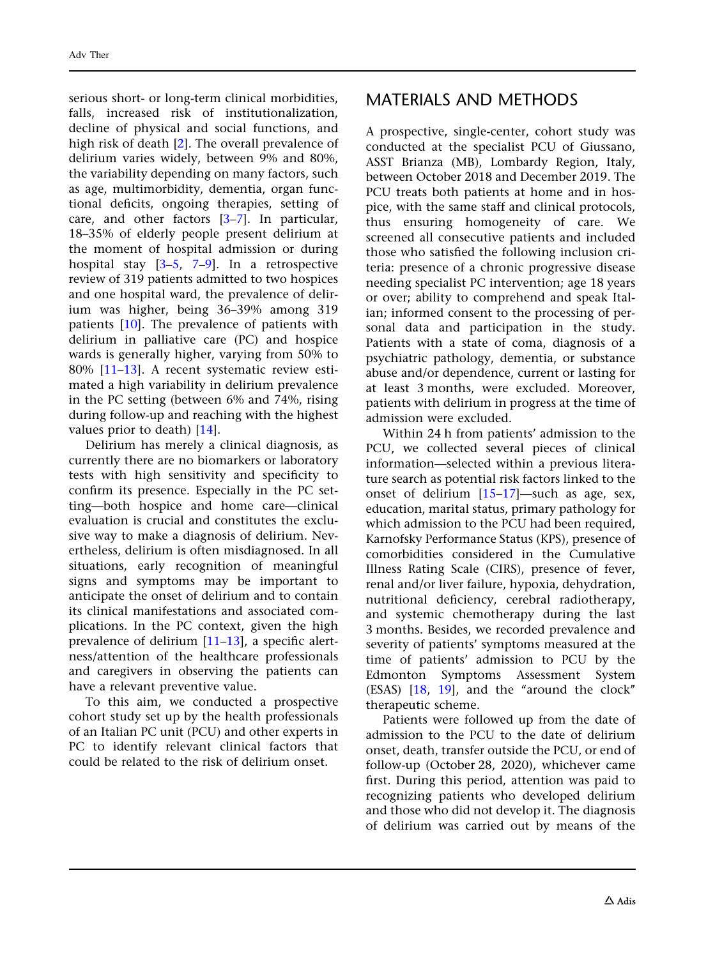serious short- or long-term clinical morbidities, falls, increased risk of institutionalization, decline of physical and social functions, and high risk of death [\[2\]](#page-13-0). The overall prevalence of delirium varies widely, between 9% and 80%, the variability depending on many factors, such as age, multimorbidity, dementia, organ functional deficits, ongoing therapies, setting of care, and other factors [\[3–7\]](#page-13-0). In particular, 18–35% of elderly people present delirium at the moment of hospital admission or during hospital stay [\[3–5,](#page-13-0) [7–9\]](#page-13-0). In a retrospective review of 319 patients admitted to two hospices and one hospital ward, the prevalence of delirium was higher, being 36–39% among 319 patients [\[10\]](#page-13-0). The prevalence of patients with delirium in palliative care (PC) and hospice wards is generally higher, varying from 50% to 80% [[11–13](#page-13-0)]. A recent systematic review estimated a high variability in delirium prevalence in the PC setting (between 6% and 74%, rising during follow-up and reaching with the highest values prior to death) [[14](#page-13-0)].

Delirium has merely a clinical diagnosis, as currently there are no biomarkers or laboratory tests with high sensitivity and specificity to confirm its presence. Especially in the PC setting—both hospice and home care—clinical evaluation is crucial and constitutes the exclusive way to make a diagnosis of delirium. Nevertheless, delirium is often misdiagnosed. In all situations, early recognition of meaningful signs and symptoms may be important to anticipate the onset of delirium and to contain its clinical manifestations and associated complications. In the PC context, given the high prevalence of delirium [\[11–13](#page-13-0)], a specific alertness/attention of the healthcare professionals and caregivers in observing the patients can have a relevant preventive value.

To this aim, we conducted a prospective cohort study set up by the health professionals of an Italian PC unit (PCU) and other experts in PC to identify relevant clinical factors that could be related to the risk of delirium onset.

# MATERIALS AND METHODS

A prospective, single-center, cohort study was conducted at the specialist PCU of Giussano, ASST Brianza (MB), Lombardy Region, Italy, between October 2018 and December 2019. The PCU treats both patients at home and in hospice, with the same staff and clinical protocols, thus ensuring homogeneity of care. We screened all consecutive patients and included those who satisfied the following inclusion criteria: presence of a chronic progressive disease needing specialist PC intervention; age 18 years or over; ability to comprehend and speak Italian; informed consent to the processing of personal data and participation in the study. Patients with a state of coma, diagnosis of a psychiatric pathology, dementia, or substance abuse and/or dependence, current or lasting for at least 3 months, were excluded. Moreover, patients with delirium in progress at the time of admission were excluded.

Within 24 h from patients' admission to the PCU, we collected several pieces of clinical information—selected within a previous literature search as potential risk factors linked to the onset of delirium [\[15–17\]](#page-13-0)—such as age, sex, education, marital status, primary pathology for which admission to the PCU had been required. Karnofsky Performance Status (KPS), presence of comorbidities considered in the Cumulative Illness Rating Scale (CIRS), presence of fever, renal and/or liver failure, hypoxia, dehydration, nutritional deficiency, cerebral radiotherapy, and systemic chemotherapy during the last 3 months. Besides, we recorded prevalence and severity of patients' symptoms measured at the time of patients' admission to PCU by the Edmonton Symptoms Assessment System (ESAS) [[18](#page-13-0), [19\]](#page-14-0), and the ''around the clock'' therapeutic scheme.

Patients were followed up from the date of admission to the PCU to the date of delirium onset, death, transfer outside the PCU, or end of follow-up (October 28, 2020), whichever came first. During this period, attention was paid to recognizing patients who developed delirium and those who did not develop it. The diagnosis of delirium was carried out by means of the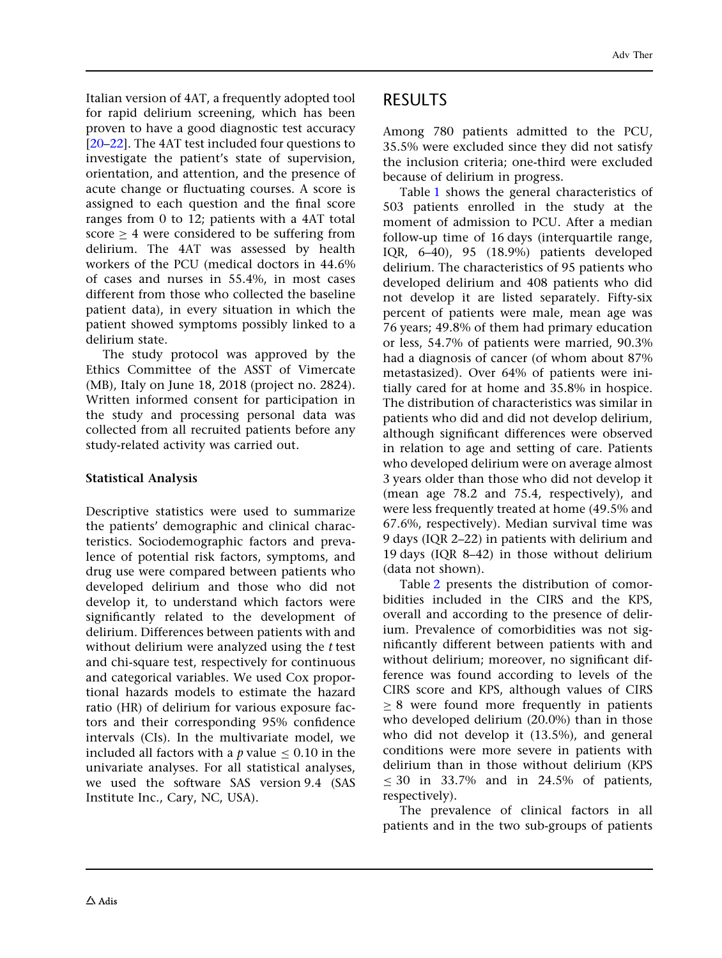Italian version of 4AT, a frequently adopted tool for rapid delirium screening, which has been proven to have a good diagnostic test accuracy [\[20–22](#page-14-0)]. The 4AT test included four questions to investigate the patient's state of supervision, orientation, and attention, and the presence of acute change or fluctuating courses. A score is assigned to each question and the final score ranges from 0 to 12; patients with a 4AT total score  $\geq$  4 were considered to be suffering from delirium. The 4AT was assessed by health workers of the PCU (medical doctors in 44.6% of cases and nurses in 55.4%, in most cases different from those who collected the baseline patient data), in every situation in which the patient showed symptoms possibly linked to a delirium state.

The study protocol was approved by the Ethics Committee of the ASST of Vimercate (MB), Italy on June 18, 2018 (project no. 2824). Written informed consent for participation in the study and processing personal data was collected from all recruited patients before any study-related activity was carried out.

#### Statistical Analysis

Descriptive statistics were used to summarize the patients' demographic and clinical characteristics. Sociodemographic factors and prevalence of potential risk factors, symptoms, and drug use were compared between patients who developed delirium and those who did not develop it, to understand which factors were significantly related to the development of delirium. Differences between patients with and without delirium were analyzed using the  $t$  test and chi-square test, respectively for continuous and categorical variables. We used Cox proportional hazards models to estimate the hazard ratio (HR) of delirium for various exposure factors and their corresponding 95% confidence intervals (CIs). In the multivariate model, we included all factors with a p value  $\leq 0.10$  in the univariate analyses. For all statistical analyses, we used the software SAS version 9.4 (SAS Institute Inc., Cary, NC, USA).

# RESULTS

Among 780 patients admitted to the PCU, 35.5% were excluded since they did not satisfy the inclusion criteria; one-third were excluded because of delirium in progress.

Table [1](#page-4-0) shows the general characteristics of 503 patients enrolled in the study at the moment of admission to PCU. After a median follow-up time of 16 days (interquartile range, IQR, 6–40), 95 (18.9%) patients developed delirium. The characteristics of 95 patients who developed delirium and 408 patients who did not develop it are listed separately. Fifty-six percent of patients were male, mean age was 76 years; 49.8% of them had primary education or less, 54.7% of patients were married, 90.3% had a diagnosis of cancer (of whom about 87% metastasized). Over 64% of patients were initially cared for at home and 35.8% in hospice. The distribution of characteristics was similar in patients who did and did not develop delirium, although significant differences were observed in relation to age and setting of care. Patients who developed delirium were on average almost 3 years older than those who did not develop it (mean age 78.2 and 75.4, respectively), and were less frequently treated at home (49.5% and 67.6%, respectively). Median survival time was 9 days (IQR 2–22) in patients with delirium and 19 days (IQR 8–42) in those without delirium (data not shown).

Table [2](#page-5-0) presents the distribution of comorbidities included in the CIRS and the KPS, overall and according to the presence of delirium. Prevalence of comorbidities was not significantly different between patients with and without delirium; moreover, no significant difference was found according to levels of the CIRS score and KPS, although values of CIRS  $\geq$  8 were found more frequently in patients who developed delirium (20.0%) than in those who did not develop it (13.5%), and general conditions were more severe in patients with delirium than in those without delirium (KPS  $\approx$  30 in 33.7% and in 24.5% of patients, respectively).

The prevalence of clinical factors in all patients and in the two sub-groups of patients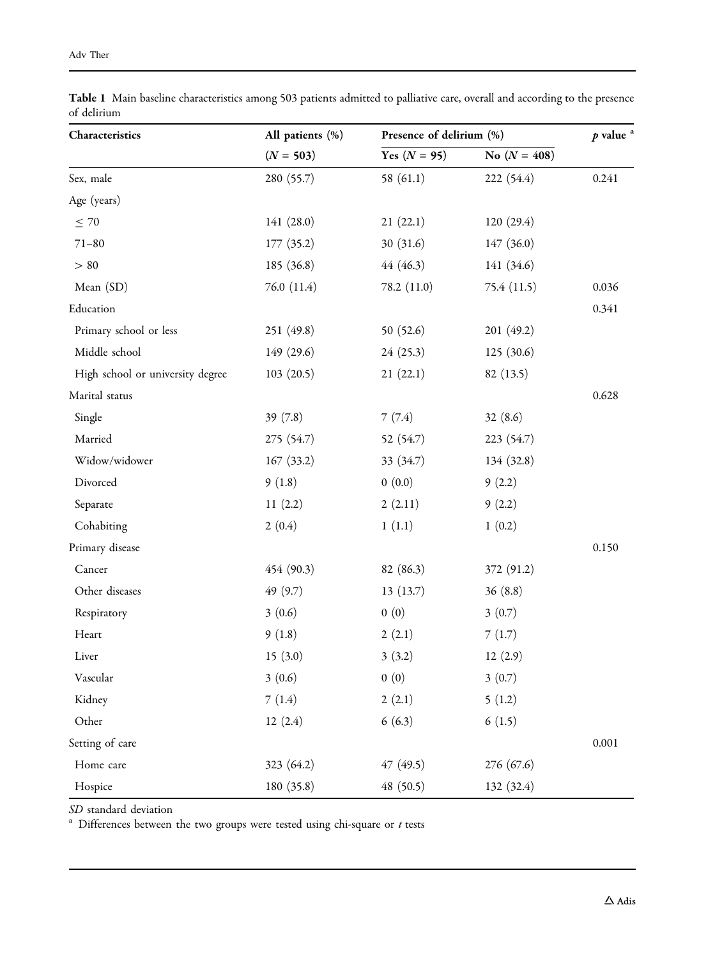| Characteristics                  | All patients (%) | Presence of delirium (%) |                | $p$ value $a$ |
|----------------------------------|------------------|--------------------------|----------------|---------------|
|                                  | $(N = 503)$      | Yes $(N = 95)$           | No $(N = 408)$ |               |
| Sex, male                        | 280 (55.7)       | 58 (61.1)                | 222 (54.4)     | 0.241         |
| Age (years)                      |                  |                          |                |               |
| $\leq 70$                        | 141(28.0)        | 21(22.1)                 | 120 (29.4)     |               |
| $71 - 80$                        | 177 (35.2)       | 30(31.6)                 | 147 (36.0)     |               |
| $>80$                            | 185 (36.8)       | 44 (46.3)                | 141 (34.6)     |               |
| Mean (SD)                        | 76.0 (11.4)      | 78.2 (11.0)              | 75.4 (11.5)    | 0.036         |
| Education                        |                  |                          |                | 0.341         |
| Primary school or less           | 251 (49.8)       | 50(52.6)                 | 201(49.2)      |               |
| Middle school                    | 149 (29.6)       | 24(25.3)                 | 125(30.6)      |               |
| High school or university degree | 103(20.5)        | 21(22.1)                 | 82(13.5)       |               |
| Marital status                   |                  |                          |                | 0.628         |
| Single                           | 39(7.8)          | 7(7.4)                   | 32(8.6)        |               |
| Married                          | 275 (54.7)       | 52 (54.7)                | 223 (54.7)     |               |
| Widow/widower                    | 167(33.2)        | 33 (34.7)                | 134 (32.8)     |               |
| Divorced                         | 9(1.8)           | 0(0.0)                   | 9(2.2)         |               |
| Separate                         | 11(2.2)          | 2(2.11)                  | 9(2.2)         |               |
| Cohabiting                       | 2(0.4)           | 1(1.1)                   | 1(0.2)         |               |
| Primary disease                  |                  |                          |                | 0.150         |
| Cancer                           | 454 (90.3)       | 82 (86.3)                | 372 (91.2)     |               |
| Other diseases                   | 49 (9.7)         | 13(13.7)                 | 36(8.8)        |               |
| Respiratory                      | 3(0.6)           | 0(0)                     | 3(0.7)         |               |
| Heart                            | 9(1.8)           | 2(2.1)                   | 7(1.7)         |               |
| Liver                            | 15(3.0)          | 3(3.2)                   | 12(2.9)        |               |
| Vascular                         | 3(0.6)           | 0(0)                     | 3(0.7)         |               |
| Kidney                           | 7(1.4)           | 2(2.1)                   | 5(1.2)         |               |
| Other                            | 12(2.4)          | 6(6.3)                   | 6(1.5)         |               |
| Setting of care                  |                  |                          |                | 0.001         |
| Home care                        | 323 (64.2)       | 47(49.5)                 | 276 (67.6)     |               |
| Hospice                          | 180 (35.8)       | 48 (50.5)                | 132 (32.4)     |               |

<span id="page-4-0"></span>Table 1 Main baseline characteristics among 503 patients admitted to palliative care, overall and according to the presence of delirium

 $SD$  standard deviation a Differences between the two groups were tested using chi-square or  $t$  tests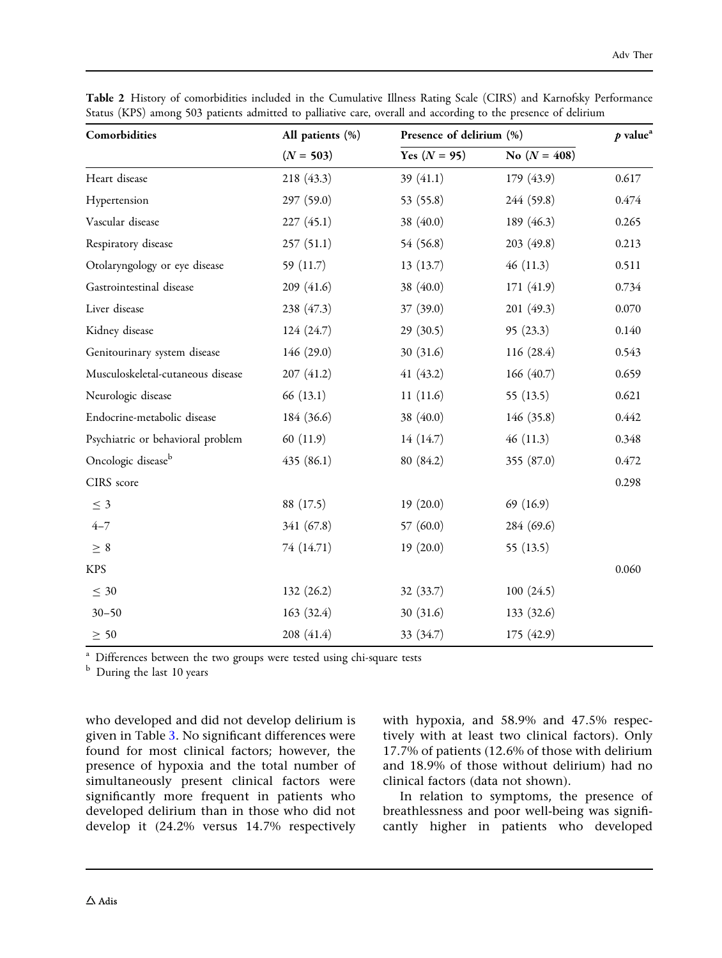| Comorbidities                     | All patients (%) |                | Presence of delirium (%) |       |  |
|-----------------------------------|------------------|----------------|--------------------------|-------|--|
|                                   | $(N = 503)$      | Yes $(N = 95)$ | No $(N = 408)$           |       |  |
| Heart disease                     | 218 (43.3)       | 39 (41.1)      | 179(43.9)                | 0.617 |  |
| Hypertension                      | 297 (59.0)       | 53 $(55.8)$    | 244 (59.8)               | 0.474 |  |
| Vascular disease                  | 227(45.1)        | 38 (40.0)      | 189 (46.3)               | 0.265 |  |
| Respiratory disease               | 257(51.1)        | 54 (56.8)      | 203 (49.8)               | 0.213 |  |
| Otolaryngology or eye disease     | 59 (11.7)        | 13(13.7)       | 46(11.3)                 | 0.511 |  |
| Gastrointestinal disease          | 209 (41.6)       | 38 (40.0)      | 171(41.9)                | 0.734 |  |
| Liver disease                     | 238 (47.3)       | 37(39.0)       | 201 (49.3)               | 0.070 |  |
| Kidney disease                    | 124 (24.7)       | 29(30.5)       | 95(23.3)                 | 0.140 |  |
| Genitourinary system disease      | 146 (29.0)       | 30(31.6)       | 116(28.4)                | 0.543 |  |
| Musculoskeletal-cutaneous disease | 207 (41.2)       | 41(43.2)       | 166(40.7)                | 0.659 |  |
| Neurologic disease                | 66(13.1)         | 11(11.6)       | 55 $(13.5)$              | 0.621 |  |
| Endocrine-metabolic disease       | 184 (36.6)       | 38 (40.0)      | 146(35.8)                | 0.442 |  |
| Psychiatric or behavioral problem | 60(11.9)         | 14(14.7)       | 46(11.3)                 | 0.348 |  |
| Oncologic disease <sup>b</sup>    | 435 (86.1)       | 80 (84.2)      | 355 (87.0)               | 0.472 |  |
| CIRS score                        |                  |                |                          | 0.298 |  |
| $\leq 3$                          | 88 (17.5)        | 19(20.0)       | 69(16.9)                 |       |  |
| $4 - 7$                           | 341 (67.8)       | 57 $(60.0)$    | 284 (69.6)               |       |  |
| $\geq~8$                          | 74 (14.71)       | 19(20.0)       | 55 (13.5)                |       |  |
| <b>KPS</b>                        |                  |                |                          | 0.060 |  |
| $\leq 30$                         | 132(26.2)        | 32(33.7)       | 100(24.5)                |       |  |
| $30 - 50$                         | 163(32.4)        | 30 (31.6)      | 133 (32.6)               |       |  |
| $\geq 50$                         | 208 (41.4)       | 33 (34.7)      | 175 (42.9)               |       |  |

<span id="page-5-0"></span>Table 2 History of comorbidities included in the Cumulative Illness Rating Scale (CIRS) and Karnofsky Performance Status (KPS) among 503 patients admitted to palliative care, overall and according to the presence of delirium

 $^{\rm a}$  Differences between the two groups were tested using chi-square tests b During the last 10 years

who developed and did not develop delirium is given in Table [3.](#page-6-0) No significant differences were found for most clinical factors; however, the presence of hypoxia and the total number of simultaneously present clinical factors were significantly more frequent in patients who developed delirium than in those who did not develop it (24.2% versus 14.7% respectively

with hypoxia, and 58.9% and 47.5% respectively with at least two clinical factors). Only 17.7% of patients (12.6% of those with delirium and 18.9% of those without delirium) had no clinical factors (data not shown).

In relation to symptoms, the presence of breathlessness and poor well-being was significantly higher in patients who developed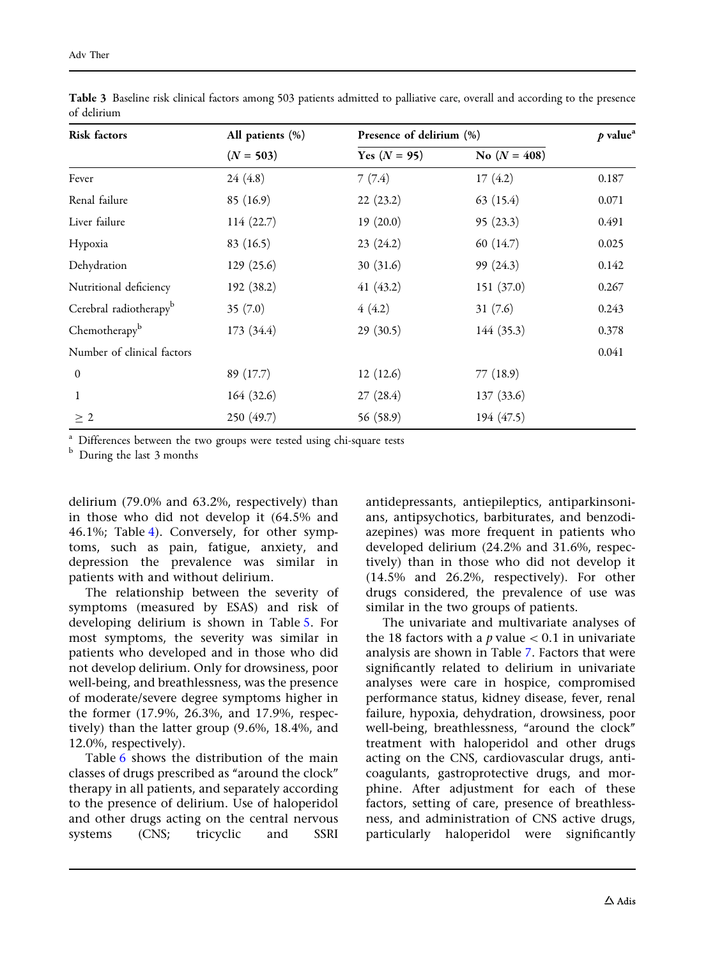| <b>Risk factors</b>                | All patients (%) |                | Presence of delirium (%) |       |  |
|------------------------------------|------------------|----------------|--------------------------|-------|--|
|                                    | $(N = 503)$      | Yes $(N = 95)$ | No $(N = 408)$           |       |  |
| Fever                              | 24(4.8)          | 7(7.4)         | 17(4.2)                  | 0.187 |  |
| Renal failure                      | 85(16.9)         | 22(23.2)       | 63(15.4)                 | 0.071 |  |
| Liver failure                      | 114(22.7)        | 19(20.0)       | 95 (23.3)                | 0.491 |  |
| Hypoxia                            | 83 (16.5)        | 23(24.2)       | 60 (14.7)                | 0.025 |  |
| Dehydration                        | 129(25.6)        | 30(31.6)       | 99 (24.3)                | 0.142 |  |
| Nutritional deficiency             | 192 (38.2)       | 41(43.2)       | 151(37.0)                | 0.267 |  |
| Cerebral radiotherapy <sup>b</sup> | 35 $(7.0)$       | 4(4.2)         | 31(7.6)                  | 0.243 |  |
| Chemotherapy <sup>b</sup>          | 173 (34.4)       | 29(30.5)       | 144(35.3)                | 0.378 |  |
| Number of clinical factors         |                  |                |                          | 0.041 |  |
| $\mathbf{0}$                       | 89 (17.7)        | 12(12.6)       | 77(18.9)                 |       |  |
| 1                                  | 164 (32.6)       | 27(28.4)       | 137(33.6)                |       |  |
| $\geq 2$                           | 250 (49.7)       | 56 (58.9)      | 194 (47.5)               |       |  |

<span id="page-6-0"></span>Table 3 Baseline risk clinical factors among 503 patients admitted to palliative care, overall and according to the presence of delirium

<sup>a</sup> Differences between the two groups were tested using chi-square tests

 $<sup>b</sup>$  During the last 3 months</sup>

delirium (79.0% and 63.2%, respectively) than in those who did not develop it (64.5% and 46.1%; Table [4\)](#page-7-0). Conversely, for other symptoms, such as pain, fatigue, anxiety, and depression the prevalence was similar in patients with and without delirium.

The relationship between the severity of symptoms (measured by ESAS) and risk of developing delirium is shown in Table [5](#page-8-0). For most symptoms, the severity was similar in patients who developed and in those who did not develop delirium. Only for drowsiness, poor well-being, and breathlessness, was the presence of moderate/severe degree symptoms higher in the former (17.9%, 26.3%, and 17.9%, respectively) than the latter group (9.6%, 18.4%, and 12.0%, respectively).

Table [6](#page-9-0) shows the distribution of the main classes of drugs prescribed as ''around the clock'' therapy in all patients, and separately according to the presence of delirium. Use of haloperidol and other drugs acting on the central nervous systems (CNS; tricyclic and SSRI

antidepressants, antiepileptics, antiparkinsonians, antipsychotics, barbiturates, and benzodiazepines) was more frequent in patients who developed delirium (24.2% and 31.6%, respectively) than in those who did not develop it (14.5% and 26.2%, respectively). For other drugs considered, the prevalence of use was similar in the two groups of patients.

The univariate and multivariate analyses of the 18 factors with a  $p$  value  $\lt 0.1$  in univariate analysis are shown in Table [7.](#page-10-0) Factors that were significantly related to delirium in univariate analyses were care in hospice, compromised performance status, kidney disease, fever, renal failure, hypoxia, dehydration, drowsiness, poor well-being, breathlessness, "around the clock" treatment with haloperidol and other drugs acting on the CNS, cardiovascular drugs, anticoagulants, gastroprotective drugs, and morphine. After adjustment for each of these factors, setting of care, presence of breathlessness, and administration of CNS active drugs, particularly haloperidol were significantly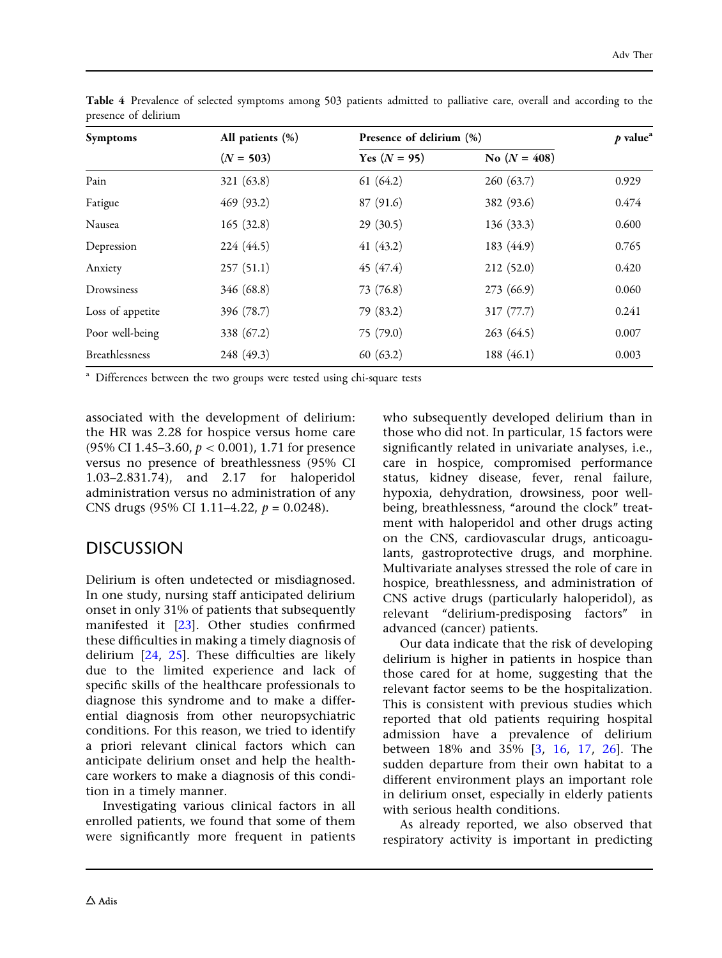| <b>Symptoms</b>       | All patients (%) | Presence of delirium (%) | $p$ value <sup>a</sup> |       |
|-----------------------|------------------|--------------------------|------------------------|-------|
|                       | $(N = 503)$      | Yes $(N = 95)$           | No $(N = 408)$         |       |
| Pain                  | 321 (63.8)       | 61(64.2)                 | 260(63.7)              | 0.929 |
| Fatigue               | 469(93.2)        | 87(91.6)                 | 382 (93.6)             | 0.474 |
| Nausea                | 165(32.8)        | 29(30.5)                 | 136 (33.3)             | 0.600 |
| Depression            | 224 (44.5)       | 41(43.2)                 | 183 (44.9)             | 0.765 |
| Anxiety               | 257(51.1)        | 45(47.4)                 | 212(52.0)              | 0.420 |
| Drowsiness            | 346 (68.8)       | 73 (76.8)                | 273 (66.9)             | 0.060 |
| Loss of appetite      | 396 (78.7)       | 79 (83.2)                | 317(77.7)              | 0.241 |
| Poor well-being       | 338 (67.2)       | 75(79.0)                 | 263(64.5)              | 0.007 |
| <b>Breathlessness</b> | 248 (49.3)       | 60(63.2)                 | 188 (46.1)             | 0.003 |

<span id="page-7-0"></span>Table 4 Prevalence of selected symptoms among 503 patients admitted to palliative care, overall and according to the presence of delirium

<sup>a</sup> Differences between the two groups were tested using chi-square tests

associated with the development of delirium: the HR was 2.28 for hospice versus home care (95% CI 1.45–3.60,  $p < 0.001$ ), 1.71 for presence versus no presence of breathlessness (95% CI 1.03–2.831.74), and 2.17 for haloperidol administration versus no administration of any CNS drugs (95% CI 1.11–4.22,  $p = 0.0248$ ).

# DISCUSSION

Delirium is often undetected or misdiagnosed. In one study, nursing staff anticipated delirium onset in only 31% of patients that subsequently manifested it [[23](#page-14-0)]. Other studies confirmed these difficulties in making a timely diagnosis of delirium [\[24,](#page-14-0) [25\]](#page-14-0). These difficulties are likely due to the limited experience and lack of specific skills of the healthcare professionals to diagnose this syndrome and to make a differential diagnosis from other neuropsychiatric conditions. For this reason, we tried to identify a priori relevant clinical factors which can anticipate delirium onset and help the healthcare workers to make a diagnosis of this condition in a timely manner.

Investigating various clinical factors in all enrolled patients, we found that some of them were significantly more frequent in patients who subsequently developed delirium than in those who did not. In particular, 15 factors were significantly related in univariate analyses, i.e., care in hospice, compromised performance status, kidney disease, fever, renal failure, hypoxia, dehydration, drowsiness, poor wellbeing, breathlessness, "around the clock" treatment with haloperidol and other drugs acting on the CNS, cardiovascular drugs, anticoagulants, gastroprotective drugs, and morphine. Multivariate analyses stressed the role of care in hospice, breathlessness, and administration of CNS active drugs (particularly haloperidol), as relevant ''delirium-predisposing factors'' in advanced (cancer) patients.

Our data indicate that the risk of developing delirium is higher in patients in hospice than those cared for at home, suggesting that the relevant factor seems to be the hospitalization. This is consistent with previous studies which reported that old patients requiring hospital admission have a prevalence of delirium between 18% and 35% [\[3](#page-13-0), [16,](#page-13-0) [17](#page-13-0), [26\]](#page-14-0). The sudden departure from their own habitat to a different environment plays an important role in delirium onset, especially in elderly patients with serious health conditions.

As already reported, we also observed that respiratory activity is important in predicting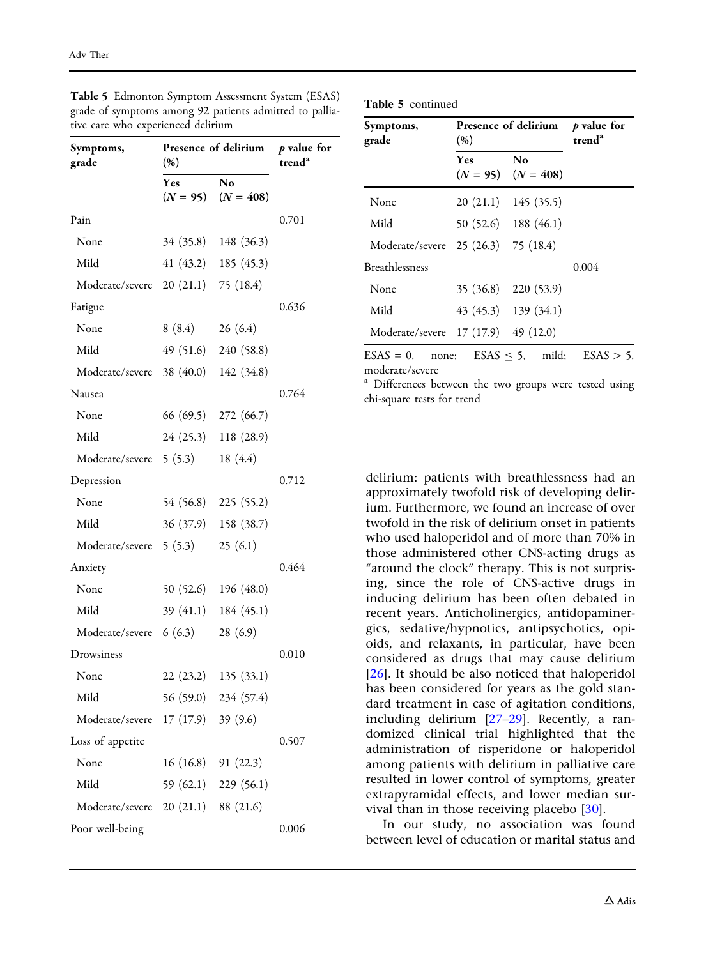| Symptoms,<br>grade                   | Presence of delirium<br>(% ) |                      | $p$ value for<br>trend <sup>a</sup> |
|--------------------------------------|------------------------------|----------------------|-------------------------------------|
|                                      | Yes<br>$(N = 95)$            | No<br>$(N = 408)$    |                                     |
| Pain                                 |                              |                      | 0.701                               |
| None                                 |                              | 34 (35.8) 148 (36.3) |                                     |
| Mild                                 |                              | 41 (43.2) 185 (45.3) |                                     |
| Moderate/severe 20 (21.1) 75 (18.4)  |                              |                      |                                     |
| Fatigue                              |                              |                      | 0.636                               |
| None                                 | 8(8.4)                       | 26(6.4)              |                                     |
| Mild                                 |                              | 49 (51.6) 240 (58.8) |                                     |
| Moderate/severe 38 (40.0) 142 (34.8) |                              |                      |                                     |
| Nausea                               |                              |                      | 0.764                               |
| None                                 | 66 (69.5)                    | 272(66.7)            |                                     |
| Mild                                 |                              | 24 (25.3) 118 (28.9) |                                     |
| Moderate/severe $5(5.3)$             |                              | 18(4.4)              |                                     |
| Depression                           |                              |                      | 0.712                               |
| None                                 |                              | 54 (56.8) 225 (55.2) |                                     |
| Mild                                 |                              | 36 (37.9) 158 (38.7) |                                     |
| Moderate/severe                      | 5(5.3)                       | 25(6.1)              |                                     |
| Anxiety                              |                              |                      | 0.464                               |
| None                                 | 50 (52.6)                    | 196 (48.0)           |                                     |
| Mild                                 |                              | 39 (41.1) 184 (45.1) |                                     |
| Moderate/severe $6(6.3)$             |                              | 28 (6.9)             |                                     |
| Drowsiness                           |                              |                      | 0.010                               |
| None                                 |                              | 22 (23.2) 135 (33.1) |                                     |
| Mild                                 |                              | 56 (59.0) 234 (57.4) |                                     |
| Moderate/severe                      | $17(17.9)$ 39 (9.6)          |                      |                                     |
| Loss of appetite                     |                              |                      | 0.507                               |
| None                                 |                              | $16(16.8)$ 91 (22.3) |                                     |
| Mild                                 |                              | 59 (62.1) 229 (56.1) |                                     |
| Moderate/severe                      | $20(21.1)$ 88 (21.6)         |                      |                                     |
| Poor well-being                      |                              |                      | 0.006                               |

<span id="page-8-0"></span>Table 5 Edmonton Symptom Assessment System (ESAS) grade of symptoms among 92 patients admitted to palliative care who experienced delirium

Table 5 continued

| Symptoms,<br>grade                  | (%) | Presence of delirium $p$ value for<br>trend <sup>a</sup> |       |
|-------------------------------------|-----|----------------------------------------------------------|-------|
|                                     | Yes | No<br>$(N = 95)$ $(N = 408)$                             |       |
| None                                |     | $20(21.1)$ 145 (35.5)                                    |       |
| Mild                                |     | 50 (52.6) 188 (46.1)                                     |       |
| Moderate/severe 25 (26.3) 75 (18.4) |     |                                                          |       |
| Breathlessness                      |     |                                                          | 0.004 |
| None                                |     | 35 (36.8) 220 (53.9)                                     |       |
| Mild                                |     | 43 (45.3) 139 (34.1)                                     |       |
| Moderate/severe 17 (17.9) 49 (12.0) |     |                                                          |       |
|                                     |     |                                                          |       |

ESAS = 0, none; ESAS  $\le$  5, mild; ESAS  $>$  5, moderate/severe

<sup>a</sup> Differences between the two groups were tested using chi-square tests for trend

delirium: patients with breathlessness had an approximately twofold risk of developing delirium. Furthermore, we found an increase of over twofold in the risk of delirium onset in patients who used haloperidol and of more than 70% in those administered other CNS-acting drugs as "around the clock" therapy. This is not surprising, since the role of CNS-active drugs in inducing delirium has been often debated in recent years. Anticholinergics, antidopaminergics, sedative/hypnotics, antipsychotics, opioids, and relaxants, in particular, have been considered as drugs that may cause delirium [\[26\]](#page-14-0). It should be also noticed that haloperidol has been considered for years as the gold standard treatment in case of agitation conditions, including delirium [\[27–29](#page-14-0)]. Recently, a randomized clinical trial highlighted that the administration of risperidone or haloperidol among patients with delirium in palliative care resulted in lower control of symptoms, greater extrapyramidal effects, and lower median survival than in those receiving placebo [[30](#page-14-0)].

In our study, no association was found between level of education or marital status and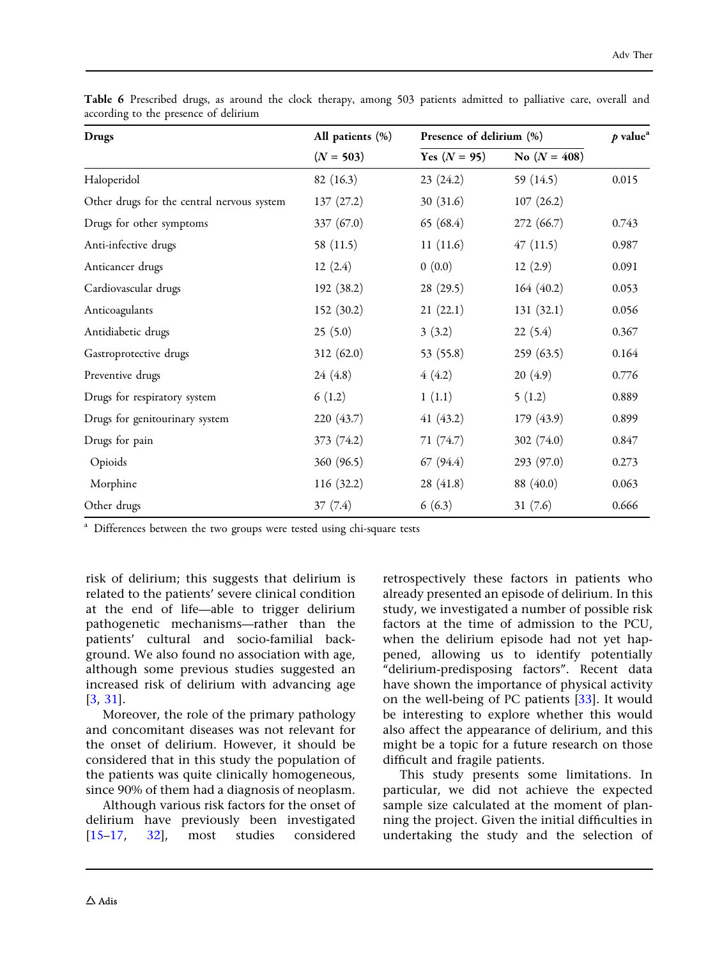| <b>Drugs</b>                               | All patients (%) |                | Presence of delirium (%) |       |
|--------------------------------------------|------------------|----------------|--------------------------|-------|
|                                            | $(N = 503)$      | Yes $(N = 95)$ | No $(N = 408)$           |       |
| Haloperidol                                | 82(16.3)         | 23(24.2)       | 59 (14.5)                | 0.015 |
| Other drugs for the central nervous system | 137 (27.2)       | 30(31.6)       | 107(26.2)                |       |
| Drugs for other symptoms                   | 337 (67.0)       | 65(68.4)       | 272 (66.7)               | 0.743 |
| Anti-infective drugs                       | 58 (11.5)        | 11(11.6)       | 47(11.5)                 | 0.987 |
| Anticancer drugs                           | 12(2.4)          | 0(0.0)         | 12(2.9)                  | 0.091 |
| Cardiovascular drugs                       | 192 (38.2)       | 28 (29.5)      | 164(40.2)                | 0.053 |
| Anticoagulants                             | 152 (30.2)       | 21(22.1)       | 131(32.1)                | 0.056 |
| Antidiabetic drugs                         | 25(5.0)          | 3(3.2)         | 22(5.4)                  | 0.367 |
| Gastroprotective drugs                     | 312 $(62.0)$     | 53 $(55.8)$    | 259(63.5)                | 0.164 |
| Preventive drugs                           | 24(4.8)          | 4(4.2)         | 20(4.9)                  | 0.776 |
| Drugs for respiratory system               | 6(1.2)           | 1(1.1)         | 5(1.2)                   | 0.889 |
| Drugs for genitourinary system             | 220 (43.7)       | 41(43.2)       | 179 (43.9)               | 0.899 |
| Drugs for pain                             | 373 (74.2)       | 71 (74.7)      | 302 (74.0)               | 0.847 |
| Opioids                                    | 360 (96.5)       | 67(94.4)       | 293 (97.0)               | 0.273 |
| Morphine                                   | 116(32.2)        | 28(41.8)       | 88 (40.0)                | 0.063 |
| Other drugs                                | 37(7.4)          | 6(6.3)         | 31(7.6)                  | 0.666 |

<span id="page-9-0"></span>Table 6 Prescribed drugs, as around the clock therapy, among 503 patients admitted to palliative care, overall and according to the presence of delirium

<sup>a</sup> Differences between the two groups were tested using chi-square tests

risk of delirium; this suggests that delirium is related to the patients' severe clinical condition at the end of life—able to trigger delirium pathogenetic mechanisms—rather than the patients' cultural and socio-familial background. We also found no association with age, although some previous studies suggested an increased risk of delirium with advancing age [\[3,](#page-13-0) [31\]](#page-14-0).

Moreover, the role of the primary pathology and concomitant diseases was not relevant for the onset of delirium. However, it should be considered that in this study the population of the patients was quite clinically homogeneous, since 90% of them had a diagnosis of neoplasm.

Although various risk factors for the onset of delirium have previously been investigated [\[15–17](#page-13-0), [32\]](#page-14-0), most studies considered

retrospectively these factors in patients who already presented an episode of delirium. In this study, we investigated a number of possible risk factors at the time of admission to the PCU, when the delirium episode had not yet happened, allowing us to identify potentially ''delirium-predisposing factors''. Recent data have shown the importance of physical activity on the well-being of PC patients [\[33\]](#page-14-0). It would be interesting to explore whether this would also affect the appearance of delirium, and this might be a topic for a future research on those difficult and fragile patients.

This study presents some limitations. In particular, we did not achieve the expected sample size calculated at the moment of planning the project. Given the initial difficulties in undertaking the study and the selection of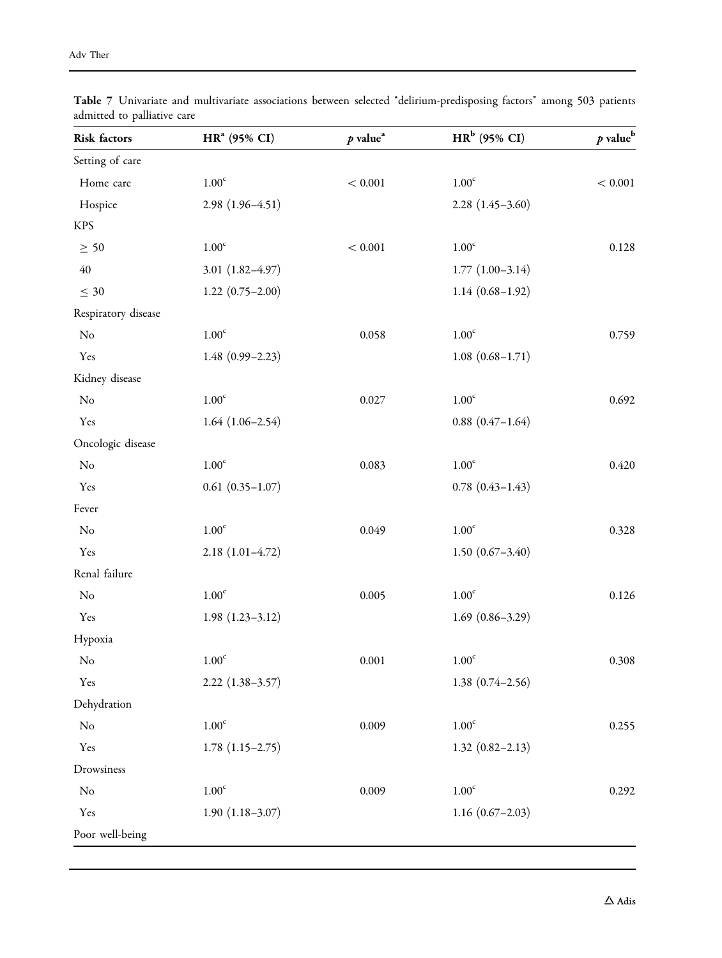| <b>Risk factors</b> | HR <sup>a</sup> (95% CI) | $p$ value <sup>a</sup> | $HR^b$ (95% CI)        | $\boldsymbol{p}$ value $\boldsymbol{b}$ |
|---------------------|--------------------------|------------------------|------------------------|-----------------------------------------|
| Setting of care     |                          |                        |                        |                                         |
| Home care           | 1.00 <sup>c</sup>        | < 0.001                | $1.00^{\rm c}$         | $< 0.001$                               |
| Hospice             | $2.98(1.96 - 4.51)$      |                        | $2.28(1.45-3.60)$      |                                         |
| <b>KPS</b>          |                          |                        |                        |                                         |
| $\geq 50$           | 1.00 <sup>c</sup>        | < 0.001                | 1.00 <sup>c</sup>      | 0.128                                   |
| $40\,$              | 3.01 $(1.82 - 4.97)$     |                        | $1.77(1.00-3.14)$      |                                         |
| $\leq 30$           | $1.22(0.75-2.00)$        |                        | $1.14(0.68 - 1.92)$    |                                         |
| Respiratory disease |                          |                        |                        |                                         |
| $\rm No$            | 1.00 <sup>c</sup>        | 0.058                  | 1.00 <sup>c</sup>      | 0.759                                   |
| Yes                 | $1.48(0.99 - 2.23)$      |                        | $1.08(0.68 - 1.71)$    |                                         |
| Kidney disease      |                          |                        |                        |                                         |
| $\rm No$            | $1.00^{\circ}$           | 0.027                  | 1.00 <sup>c</sup>      | 0.692                                   |
| Yes                 | $1.64(1.06-2.54)$        |                        | $0.88$ $(0.47-1.64)$   |                                         |
| Oncologic disease   |                          |                        |                        |                                         |
| $\rm No$            | 1.00 <sup>c</sup>        | 0.083                  | 1.00 <sup>c</sup>      | 0.420                                   |
| Yes                 | $0.61(0.35-1.07)$        |                        | $0.78$ $(0.43 - 1.43)$ |                                         |
| Fever               |                          |                        |                        |                                         |
| $\rm No$            | $1.00^{\circ}$           | 0.049                  | $1.00^{\rm c}$         | 0.328                                   |
| Yes                 | $2.18(1.01 - 4.72)$      |                        | $1.50(0.67 - 3.40)$    |                                         |
| Renal failure       |                          |                        |                        |                                         |
| $\rm No$            | 1.00 <sup>c</sup>        | 0.005                  | 1.00 <sup>c</sup>      | 0.126                                   |
| Yes                 | $1.98(1.23 - 3.12)$      |                        | $1.69(0.86 - 3.29)$    |                                         |
| Hypoxia             |                          |                        |                        |                                         |
| $\rm No$            | $1.00^{\rm c}$           | 0.001                  | $1.00^{\rm c}$         | 0.308                                   |
| Yes                 | $2.22(1.38-3.57)$        |                        | $1.38(0.74 - 2.56)$    |                                         |
| Dehydration         |                          |                        |                        |                                         |
| $\rm No$            | 1.00 <sup>c</sup>        | 0.009                  | $1.00^{\circ}$         | 0.255                                   |
| Yes                 | $1.78$ $(1.15-2.75)$     |                        | $1.32(0.82 - 2.13)$    |                                         |
| Drowsiness          |                          |                        |                        |                                         |
| $\rm No$            | 1.00 <sup>c</sup>        | 0.009                  | $1.00^{\rm c}$         | 0.292                                   |
| Yes                 | $1.90(1.18-3.07)$        |                        | $1.16(0.67 - 2.03)$    |                                         |
| Poor well-being     |                          |                        |                        |                                         |

<span id="page-10-0"></span>Table 7 Univariate and multivariate associations between selected "delirium-predisposing factors" among 503 patients admitted to palliative care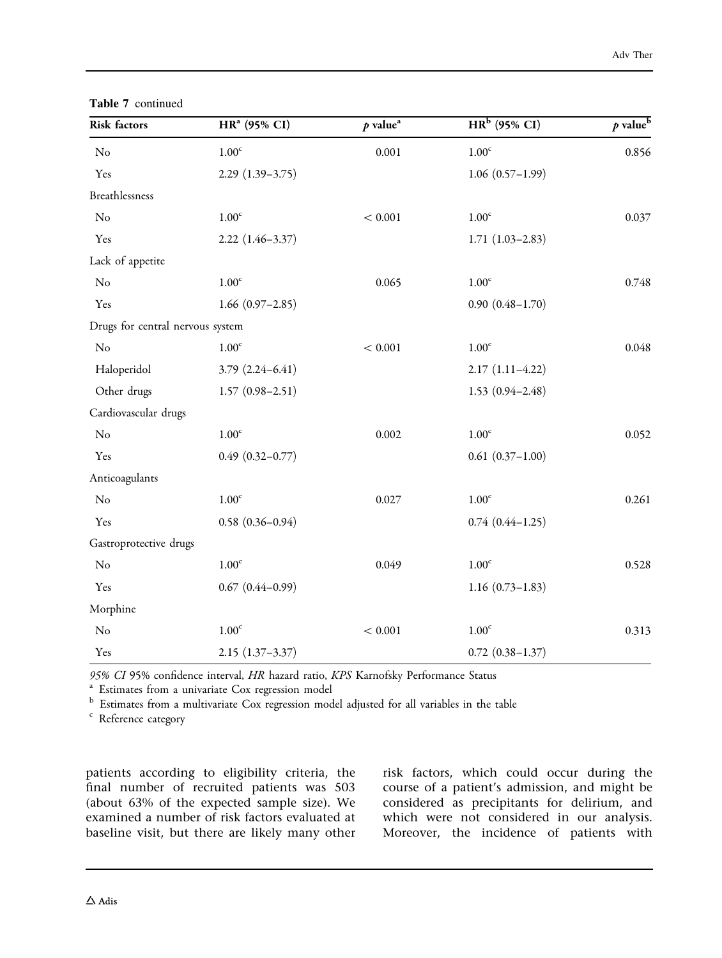| <b>Risk factors</b>              | HR <sup>a</sup> (95% CI) | $p$ value <sup><math>a</math></sup> | $HR^b$ (95% CI)        | $p$ value <sup>b</sup> |
|----------------------------------|--------------------------|-------------------------------------|------------------------|------------------------|
| No                               | 1.00 <sup>c</sup>        | 0.001                               | 1.00 <sup>c</sup>      | 0.856                  |
| Yes                              | $2.29(1.39-3.75)$        |                                     | $1.06(0.57-1.99)$      |                        |
| Breathlessness                   |                          |                                     |                        |                        |
| No                               | 1.00 <sup>c</sup>        | < 0.001                             | $1.00^{\circ}$         | 0.037                  |
| Yes                              | $2.22(1.46-3.37)$        |                                     | $1.71(1.03-2.83)$      |                        |
| Lack of appetite                 |                          |                                     |                        |                        |
| No                               | 1.00 <sup>c</sup>        | 0.065                               | 1.00 <sup>c</sup>      | 0.748                  |
| Yes                              | $1.66(0.97 - 2.85)$      |                                     | $0.90(0.48 - 1.70)$    |                        |
| Drugs for central nervous system |                          |                                     |                        |                        |
| No                               | 1.00 <sup>c</sup>        | < 0.001                             | 1.00 <sup>c</sup>      | 0.048                  |
| Haloperidol                      | $3.79(2.24 - 6.41)$      |                                     | $2.17(1.11 - 4.22)$    |                        |
| Other drugs                      | $1.57(0.98 - 2.51)$      |                                     | $1.53(0.94 - 2.48)$    |                        |
| Cardiovascular drugs             |                          |                                     |                        |                        |
| $\rm No$                         | 1.00 <sup>c</sup>        | 0.002                               | 1.00 <sup>c</sup>      | 0.052                  |
| Yes                              | $0.49$ $(0.32 - 0.77)$   |                                     | $0.61(0.37-1.00)$      |                        |
| Anticoagulants                   |                          |                                     |                        |                        |
| No                               | 1.00 <sup>c</sup>        | 0.027                               | 1.00 <sup>c</sup>      | 0.261                  |
| Yes                              | $0.58$ $(0.36 - 0.94)$   |                                     | $0.74$ $(0.44 - 1.25)$ |                        |
| Gastroprotective drugs           |                          |                                     |                        |                        |
| $\rm No$                         | $1.00^{\rm c}$           | 0.049                               | 1.00 <sup>c</sup>      | 0.528                  |
| Yes                              | $0.67$ $(0.44 - 0.99)$   |                                     | $1.16(0.73 - 1.83)$    |                        |
| Morphine                         |                          |                                     |                        |                        |
| $\rm No$                         | 1.00 <sup>c</sup>        | < 0.001                             | 1.00 <sup>c</sup>      | 0.313                  |
| Yes                              | $2.15(1.37-3.37)$        |                                     | $0.72$ $(0.38-1.37)$   |                        |

Table 7 continued

95% CI 95% confidence interval, HR hazard ratio, KPS Karnofsky Performance Status <sup>a</sup> Estimates from a univariate Cox regression model

<sup>b</sup> Estimates from a multivariate Cox regression model adjusted for all variables in the table <sup>c</sup> Reference category

patients according to eligibility criteria, the final number of recruited patients was 503 (about 63% of the expected sample size). We examined a number of risk factors evaluated at baseline visit, but there are likely many other

risk factors, which could occur during the course of a patient's admission, and might be considered as precipitants for delirium, and which were not considered in our analysis. Moreover, the incidence of patients with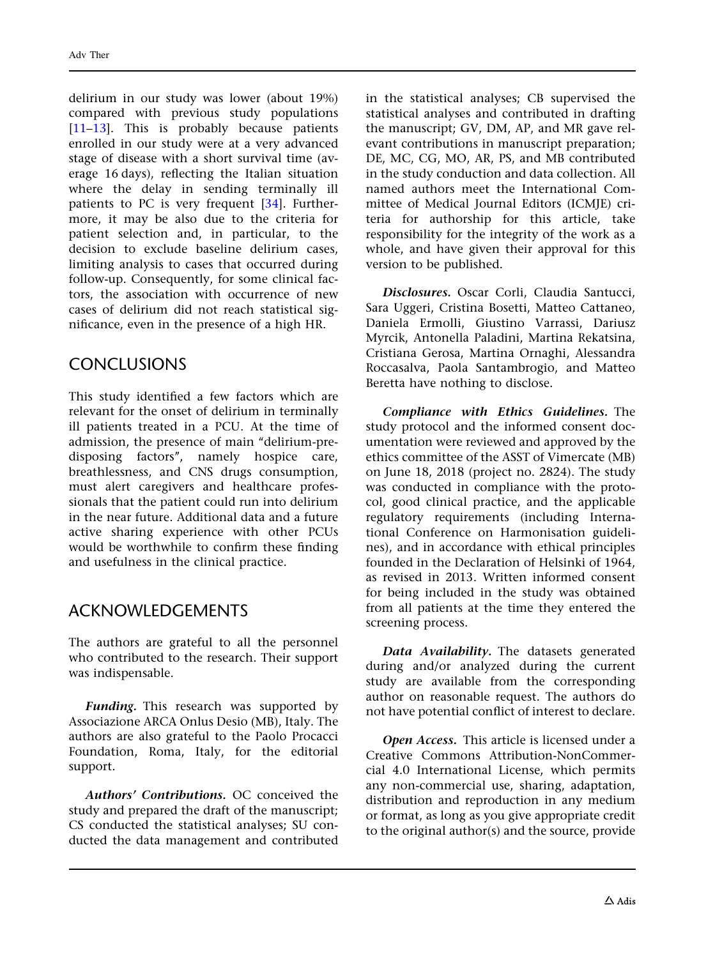delirium in our study was lower (about 19%) compared with previous study populations [11-13]. This is probably because patients enrolled in our study were at a very advanced stage of disease with a short survival time (average 16 days), reflecting the Italian situation where the delay in sending terminally ill patients to PC is very frequent [[34](#page-14-0)]. Furthermore, it may be also due to the criteria for patient selection and, in particular, to the decision to exclude baseline delirium cases, limiting analysis to cases that occurred during follow-up. Consequently, for some clinical factors, the association with occurrence of new cases of delirium did not reach statistical significance, even in the presence of a high HR.

# **CONCLUSIONS**

This study identified a few factors which are relevant for the onset of delirium in terminally ill patients treated in a PCU. At the time of admission, the presence of main ''delirium-predisposing factors'', namely hospice care, breathlessness, and CNS drugs consumption, must alert caregivers and healthcare professionals that the patient could run into delirium in the near future. Additional data and a future active sharing experience with other PCUs would be worthwhile to confirm these finding and usefulness in the clinical practice.

### ACKNOWLEDGEMENTS

The authors are grateful to all the personnel who contributed to the research. Their support was indispensable.

Funding. This research was supported by Associazione ARCA Onlus Desio (MB), Italy. The authors are also grateful to the Paolo Procacci Foundation, Roma, Italy, for the editorial support.

Authors' Contributions. OC conceived the study and prepared the draft of the manuscript; CS conducted the statistical analyses; SU conducted the data management and contributed in the statistical analyses; CB supervised the statistical analyses and contributed in drafting the manuscript; GV, DM, AP, and MR gave relevant contributions in manuscript preparation; DE, MC, CG, MO, AR, PS, and MB contributed in the study conduction and data collection. All named authors meet the International Committee of Medical Journal Editors (ICMJE) criteria for authorship for this article, take responsibility for the integrity of the work as a whole, and have given their approval for this version to be published.

Disclosures. Oscar Corli, Claudia Santucci, Sara Uggeri, Cristina Bosetti, Matteo Cattaneo, Daniela Ermolli, Giustino Varrassi, Dariusz Myrcik, Antonella Paladini, Martina Rekatsina, Cristiana Gerosa, Martina Ornaghi, Alessandra Roccasalva, Paola Santambrogio, and Matteo Beretta have nothing to disclose.

Compliance with Ethics Guidelines. The study protocol and the informed consent documentation were reviewed and approved by the ethics committee of the ASST of Vimercate (MB) on June 18, 2018 (project no. 2824). The study was conducted in compliance with the protocol, good clinical practice, and the applicable regulatory requirements (including International Conference on Harmonisation guidelines), and in accordance with ethical principles founded in the Declaration of Helsinki of 1964, as revised in 2013. Written informed consent for being included in the study was obtained from all patients at the time they entered the screening process.

Data Availability. The datasets generated during and/or analyzed during the current study are available from the corresponding author on reasonable request. The authors do not have potential conflict of interest to declare.

Open Access. This article is licensed under a Creative Commons Attribution-NonCommercial 4.0 International License, which permits any non-commercial use, sharing, adaptation, distribution and reproduction in any medium or format, as long as you give appropriate credit to the original author(s) and the source, provide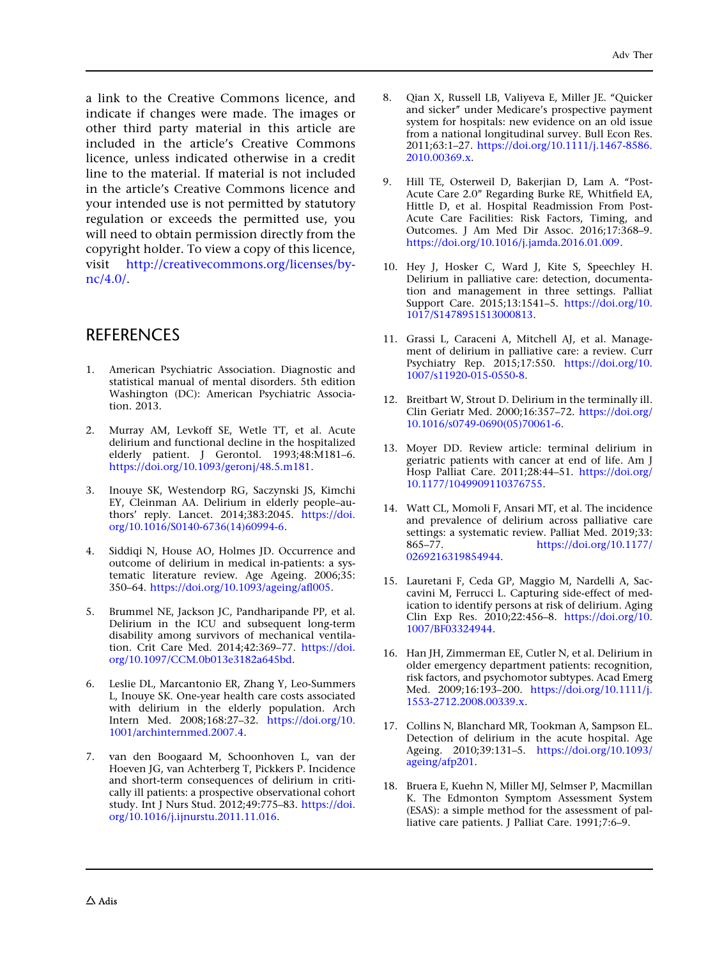<span id="page-13-0"></span>a link to the Creative Commons licence, and indicate if changes were made. The images or other third party material in this article are included in the article's Creative Commons licence, unless indicated otherwise in a credit line to the material. If material is not included in the article's Creative Commons licence and your intended use is not permitted by statutory regulation or exceeds the permitted use, you will need to obtain permission directly from the copyright holder. To view a copy of this licence, visit [http://creativecommons.org/licenses/by](http://creativecommons.org/licenses/by-nc/4.0/)[nc/4.0/](http://creativecommons.org/licenses/by-nc/4.0/).

### REFERENCES

- 1. American Psychiatric Association. Diagnostic and statistical manual of mental disorders. 5th edition Washington (DC): American Psychiatric Association. 2013.
- 2. Murray AM, Levkoff SE, Wetle TT, et al. Acute delirium and functional decline in the hospitalized elderly patient. J Gerontol. 1993;48:M181–6. <https://doi.org/10.1093/geronj/48.5.m181>.
- 3. Inouye SK, Westendorp RG, Saczynski JS, Kimchi EY, Cleinman AA. Delirium in elderly people–authors' reply. Lancet. 2014;383:2045. [https://doi.](https://doi.org/10.1016/S0140-6736(14)60994-6) [org/10.1016/S0140-6736\(14\)60994-6.](https://doi.org/10.1016/S0140-6736(14)60994-6)
- 4. Siddiqi N, House AO, Holmes JD. Occurrence and outcome of delirium in medical in-patients: a systematic literature review. Age Ageing. 2006;35: 350–64. [https://doi.org/10.1093/ageing/afl005.](https://doi.org/10.1093/ageing/afl005)
- 5. Brummel NE, Jackson JC, Pandharipande PP, et al. Delirium in the ICU and subsequent long-term disability among survivors of mechanical ventilation. Crit Care Med. 2014;42:369–77. [https://doi.](https://doi.org/10.1097/CCM.0b013e3182a645bd) [org/10.1097/CCM.0b013e3182a645bd](https://doi.org/10.1097/CCM.0b013e3182a645bd).
- 6. Leslie DL, Marcantonio ER, Zhang Y, Leo-Summers L, Inouye SK. One-year health care costs associated with delirium in the elderly population. Arch Intern Med. 2008;168:27–32. [https://doi.org/10.](https://doi.org/10.1001/archinternmed.2007.4) [1001/archinternmed.2007.4](https://doi.org/10.1001/archinternmed.2007.4).
- 7. van den Boogaard M, Schoonhoven L, van der Hoeven JG, van Achterberg T, Pickkers P. Incidence and short-term consequences of delirium in critically ill patients: a prospective observational cohort study. Int J Nurs Stud. 2012;49:775–83. [https://doi.](https://doi.org/10.1016/j.ijnurstu.2011.11.016) [org/10.1016/j.ijnurstu.2011.11.016](https://doi.org/10.1016/j.ijnurstu.2011.11.016).
- 8. Qian X, Russell LB, Valiyeva E, Miller JE. ''Quicker and sicker'' under Medicare's prospective payment system for hospitals: new evidence on an old issue from a national longitudinal survey. Bull Econ Res. 2011;63:1–27. [https://doi.org/10.1111/j.1467-8586.](https://doi.org/10.1111/j.1467-8586.2010.00369.x) [2010.00369.x.](https://doi.org/10.1111/j.1467-8586.2010.00369.x)
- 9. Hill TE, Osterweil D, Bakerjian D, Lam A. "Post-Acute Care 2.0'' Regarding Burke RE, Whitfield EA, Hittle D, et al. Hospital Readmission From Post-Acute Care Facilities: Risk Factors, Timing, and Outcomes. J Am Med Dir Assoc. 2016;17:368–9. [https://doi.org/10.1016/j.jamda.2016.01.009.](https://doi.org/10.1016/j.jamda.2016.01.009)
- 10. Hey J, Hosker C, Ward J, Kite S, Speechley H. Delirium in palliative care: detection, documentation and management in three settings. Palliat Support Care. 2015;13:1541–5. [https://doi.org/10.](https://doi.org/10.1017/S1478951513000813) [1017/S1478951513000813.](https://doi.org/10.1017/S1478951513000813)
- 11. Grassi L, Caraceni A, Mitchell AJ, et al. Management of delirium in palliative care: a review. Curr Psychiatry Rep. 2015;17:550. [https://doi.org/10.](https://doi.org/10.1007/s11920-015-0550-8) [1007/s11920-015-0550-8.](https://doi.org/10.1007/s11920-015-0550-8)
- 12. Breitbart W, Strout D. Delirium in the terminally ill. Clin Geriatr Med. 2000;16:357–72. [https://doi.org/](https://doi.org/10.1016/s0749-0690(05)70061-6) [10.1016/s0749-0690\(05\)70061-6.](https://doi.org/10.1016/s0749-0690(05)70061-6)
- 13. Moyer DD. Review article: terminal delirium in geriatric patients with cancer at end of life. Am J Hosp Palliat Care. 2011;28:44–51. [https://doi.org/](https://doi.org/10.1177/1049909110376755) [10.1177/1049909110376755.](https://doi.org/10.1177/1049909110376755)
- 14. Watt CL, Momoli F, Ansari MT, et al. The incidence and prevalence of delirium across palliative care settings: a systematic review. Palliat Med. 2019;33: 865–77. [https://doi.org/10.1177/](https://doi.org/10.1177/0269216319854944) [0269216319854944.](https://doi.org/10.1177/0269216319854944)
- 15. Lauretani F, Ceda GP, Maggio M, Nardelli A, Saccavini M, Ferrucci L. Capturing side-effect of medication to identify persons at risk of delirium. Aging Clin Exp Res. 2010;22:456–8. [https://doi.org/10.](https://doi.org/10.1007/BF03324944) [1007/BF03324944](https://doi.org/10.1007/BF03324944).
- 16. Han JH, Zimmerman EE, Cutler N, et al. Delirium in older emergency department patients: recognition, risk factors, and psychomotor subtypes. Acad Emerg Med. 2009;16:193–200. [https://doi.org/10.1111/j.](https://doi.org/10.1111/j.1553-2712.2008.00339.x) [1553-2712.2008.00339.x.](https://doi.org/10.1111/j.1553-2712.2008.00339.x)
- 17. Collins N, Blanchard MR, Tookman A, Sampson EL. Detection of delirium in the acute hospital. Age Ageing. 2010;39:131–5. [https://doi.org/10.1093/](https://doi.org/10.1093/ageing/afp201) [ageing/afp201](https://doi.org/10.1093/ageing/afp201).
- 18. Bruera E, Kuehn N, Miller MJ, Selmser P, Macmillan K. The Edmonton Symptom Assessment System (ESAS): a simple method for the assessment of palliative care patients. J Palliat Care. 1991;7:6–9.